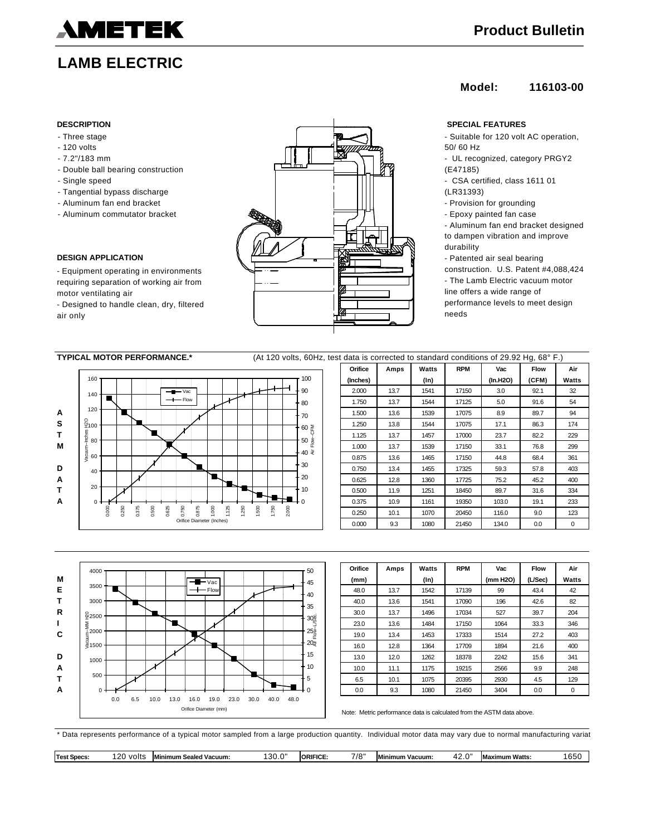# METEK

## **LAMB ELECTRIC**

- Three stage
- 120 volts
- 7.2"/183 mm
- Double ball bearing construction
- Single speed
- Tangential bypass discharge
- Aluminum fan end bracket
- Aluminum commutator bracket

### **DESIGN APPLICATION**

- Equipment operating in environments requiring separation of working air from motor ventilating air

- Designed to handle clean, dry, filtered air only



### **Model: 116103-00**

- Suitable for 120 volt AC operation, 50/ 60 Hz
- UL recognized, category PRGY2 (E47185)
- CSA certified, class 1611 01 (LR31393)
- Provision for grounding
- Epoxy painted fan case

- Aluminum fan end bracket designed to dampen vibration and improve durability

- Patented air seal bearing construction. U.S. Patent #4,088,424 - The Lamb Electric vacuum motor line offers a wide range of performance levels to meet design needs

| <b>TYPICAL MOTOR PERFORMANCE.*</b><br>(At 120 volts, 60Hz, test data is corrected to standard conditions of 29.92 Hq, 68° F.) |                      |          |      |       |            |          |       |       |
|-------------------------------------------------------------------------------------------------------------------------------|----------------------|----------|------|-------|------------|----------|-------|-------|
|                                                                                                                               |                      | Orifice  | Amps | Watts | <b>RPM</b> | Vac      | Flow  | Air   |
| 160                                                                                                                           | 100                  | (Inches) |      | (In)  |            | (In.H2O) | (CFM) | Watts |
| $  \vee$ ac<br>140                                                                                                            | $-90$                | 2.000    | 13.7 | 1541  | 17150      | 3.0      | 92.1  | 32    |
| $-$ Flow                                                                                                                      | 80                   | 1.750    | 13.7 | 1544  | 17125      | 5.0      | 91.6  | 54    |
| 120                                                                                                                           | + 70                 | 1.500    | 13.6 | 1539  | 17075      | 8.9      | 89.7  | 94    |
| 요<br><sup>모</sup> 100                                                                                                         | 60 폱                 | 1.250    | 13.8 | 1544  | 17075      | 17.1     | 86.3  | 174   |
| $rac{6}{5}$ 80                                                                                                                | 50                   | 1.125    | 13.7 | 1457  | 17000      | 23.7     | 82.2  | 229   |
|                                                                                                                               | Flow                 | 1.000    | 13.7 | 1539  | 17150      | 33.1     | 76.8  | 299   |
| $\begin{array}{c}\n\stackrel{\text{def}}{=}\n\end{array}$                                                                     | + 40 ਵੋ              | 0.875    | 13.6 | 1465  | 17150      | 44.8     | 68.4  | 361   |
| 40                                                                                                                            | + 30                 | 0.750    | 13.4 | 1455  | 17325      | 59.3     | 57.8  | 403   |
|                                                                                                                               | $-20$                | 0.625    | 12.8 | 1360  | 17725      | 75.2     | 45.2  | 400   |
| 20                                                                                                                            | 10                   | 0.500    | 11.9 | 1251  | 18450      | 89.7     | 31.6  | 334   |
| $\Omega$                                                                                                                      |                      | 0.375    | 10.9 | 1161  | 19350      | 103.0    | 19.1  | 233   |
| 0.500<br>1.000<br>1,125<br>0.000<br>0.375<br>0.625<br>0.750<br>0.875<br>1.250<br>0.250                                        | 500<br>.750<br>2.000 | 0.250    | 10.1 | 1070  | 20450      | 116.0    | 9.0   | 123   |
| Orifice Diameter (Inches)                                                                                                     |                      | 0.000    | 9.3  | 1080  | 21450      | 134.0    | 0.0   | 0     |



| Orifice | Amps | Watts   | <b>RPM</b> | Vac      | <b>Flow</b> | Air   |
|---------|------|---------|------------|----------|-------------|-------|
| (mm)    |      | $(\ln)$ |            | (mm H2O) | (L/Sec)     | Watts |
| 48.0    | 13.7 | 1542    | 17139      | 99       | 43.4        | 42    |
| 40.0    | 13.6 | 1541    | 17090      | 196      | 42.6        | 82    |
| 30.0    | 13.7 | 1496    | 17034      | 527      | 39.7        | 204   |
| 23.0    | 13.6 | 1484    | 17150      | 1064     | 33.3        | 346   |
| 19.0    | 13.4 | 1453    | 17333      | 1514     | 27.2        | 403   |
| 16.0    | 12.8 | 1364    | 17709      | 1894     | 21.6        | 400   |
| 13.0    | 12.0 | 1262    | 18378      | 2242     | 15.6        | 341   |
| 10.0    | 11.1 | 1175    | 19215      | 2566     | 9.9         | 248   |
| 6.5     | 10.1 | 1075    | 20395      | 2930     | 4.5         | 129   |
| 0.0     | 9.3  | 1080    | 21450      | 3404     | 0.0         | 0     |

Note: Metric performance data is calculated from the ASTM data above.

\* Data represents performance of a typical motor sampled from a large production quantity. Individual motor data may vary due to normal manufacturing variat

**Test Specs:** 120 volts **Minimum Sealed Vacuum:** 130.0" **ORIFICE:** 7/8" **Minimum Vacuum:** 42.0" **Maximum Watts:** 1650